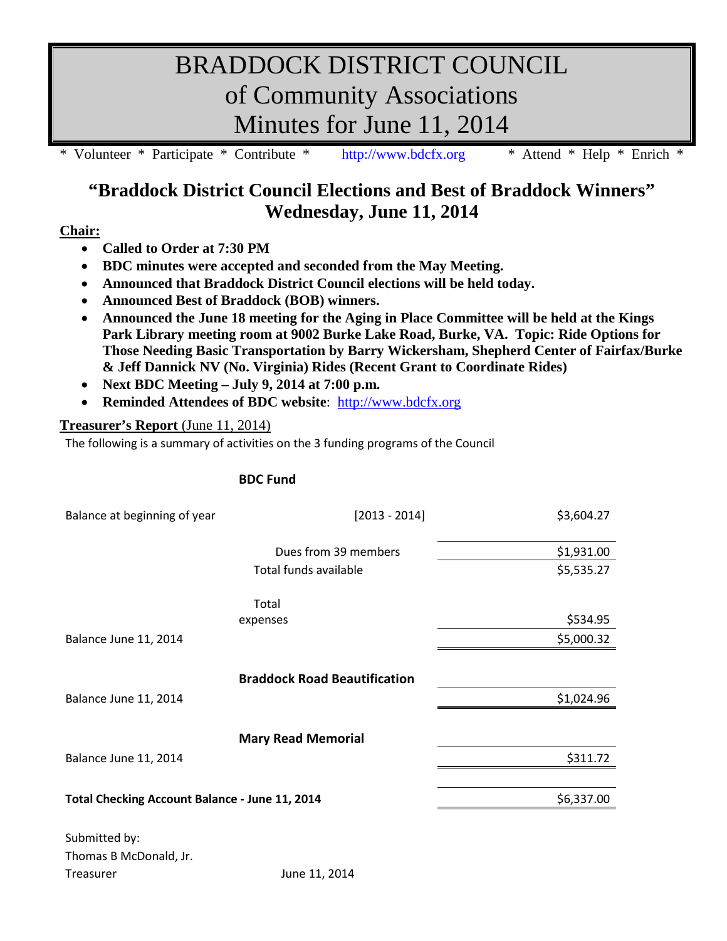# BRADDOCK DISTRICT COUNCIL of Community Associations Minutes for June 11, 2014

\* Volunteer \* Participate \* Contribute \* [http://www.bdcfx.org](http://www.bdcfx.org/) \* Attend \* Help \* Enrich \*

# **"Braddock District Council Elections and Best of Braddock Winners" Wednesday, June 11, 2014**

### **Chair:**

- **Called to Order at 7:30 PM**
- **BDC minutes were accepted and seconded from the May Meeting.**
- **Announced that Braddock District Council elections will be held today.**
- **Announced Best of Braddock (BOB) winners.**
- **Announced the June 18 meeting for the Aging in Place Committee will be held at the Kings Park Library meeting room at 9002 Burke Lake Road, Burke, VA. Topic: Ride Options for Those Needing Basic Transportation by Barry Wickersham, Shepherd Center of Fairfax/Burke & Jeff Dannick NV (No. Virginia) Rides (Recent Grant to Coordinate Rides)**
- **Next BDC Meeting – July 9, 2014 at 7:00 p.m.**
- **Reminded Attendees of BDC website**: [http://www.bdcfx.org](http://www.bdcfx.org/)

# **Treasurer's Report** (June 11, 2014)

The following is a summary of activities on the 3 funding programs of the Council

## **BDC Fund**

| Balance at beginning of year                   | $[2013 - 2014]$                     | \$3,604.27 |
|------------------------------------------------|-------------------------------------|------------|
|                                                | Dues from 39 members                | \$1,931.00 |
|                                                | Total funds available               | \$5,535.27 |
|                                                | Total                               |            |
|                                                | expenses                            | \$534.95   |
| Balance June 11, 2014                          |                                     | \$5,000.32 |
|                                                |                                     |            |
|                                                | <b>Braddock Road Beautification</b> |            |
| Balance June 11, 2014                          |                                     | \$1,024.96 |
|                                                | <b>Mary Read Memorial</b>           |            |
| Balance June 11, 2014                          |                                     | \$311.72   |
|                                                |                                     |            |
| Total Checking Account Balance - June 11, 2014 |                                     | \$6,337.00 |
| Submitted by:                                  |                                     |            |
| Thomas B McDonald, Jr.                         |                                     |            |
| <b>Treasurer</b>                               | June 11, 2014                       |            |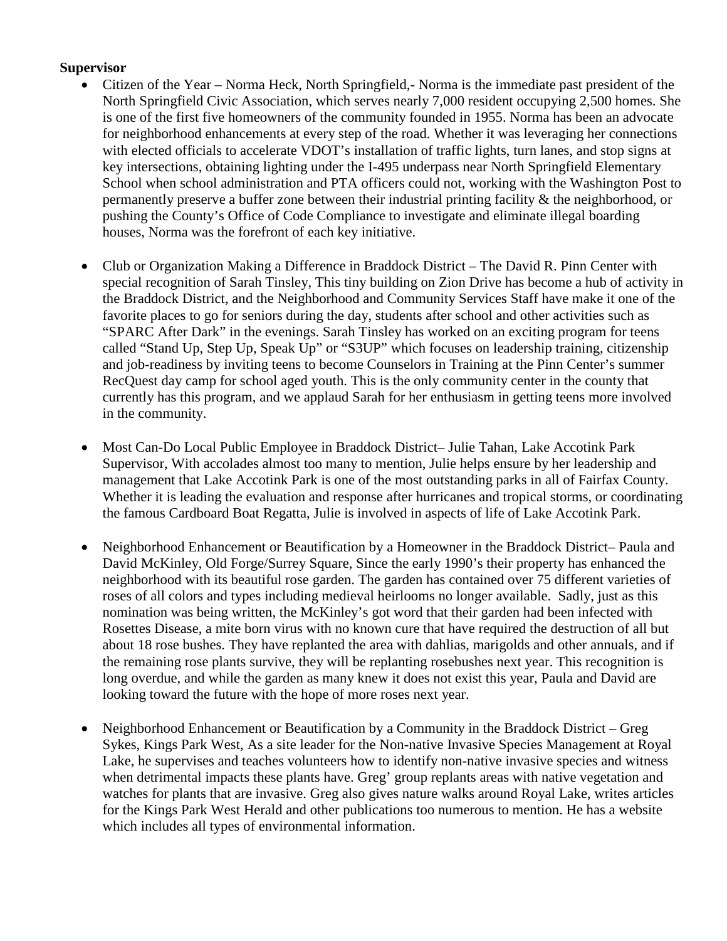#### **Supervisor**

- Citizen of the Year Norma Heck, North Springfield,- Norma is the immediate past president of the North Springfield Civic Association, which serves nearly 7,000 resident occupying 2,500 homes. She is one of the first five homeowners of the community founded in 1955. Norma has been an advocate for neighborhood enhancements at every step of the road. Whether it was leveraging her connections with elected officials to accelerate VDOT's installation of traffic lights, turn lanes, and stop signs at key intersections, obtaining lighting under the I-495 underpass near North Springfield Elementary School when school administration and PTA officers could not, working with the Washington Post to permanently preserve a buffer zone between their industrial printing facility & the neighborhood, or pushing the County's Office of Code Compliance to investigate and eliminate illegal boarding houses, Norma was the forefront of each key initiative.
- Club or Organization Making a Difference in Braddock District The David R. Pinn Center with special recognition of Sarah Tinsley, This tiny building on Zion Drive has become a hub of activity in the Braddock District, and the Neighborhood and Community Services Staff have make it one of the favorite places to go for seniors during the day, students after school and other activities such as "SPARC After Dark" in the evenings. Sarah Tinsley has worked on an exciting program for teens called "Stand Up, Step Up, Speak Up" or "S3UP" which focuses on leadership training, citizenship and job-readiness by inviting teens to become Counselors in Training at the Pinn Center's summer RecQuest day camp for school aged youth. This is the only community center in the county that currently has this program, and we applaud Sarah for her enthusiasm in getting teens more involved in the community.
- Most Can-Do Local Public Employee in Braddock District– Julie Tahan, Lake Accotink Park Supervisor, With accolades almost too many to mention, Julie helps ensure by her leadership and management that Lake Accotink Park is one of the most outstanding parks in all of Fairfax County. Whether it is leading the evaluation and response after hurricanes and tropical storms, or coordinating the famous Cardboard Boat Regatta, Julie is involved in aspects of life of Lake Accotink Park.
- Neighborhood Enhancement or Beautification by a Homeowner in the Braddock District– Paula and David McKinley, Old Forge/Surrey Square, Since the early 1990's their property has enhanced the neighborhood with its beautiful rose garden. The garden has contained over 75 different varieties of roses of all colors and types including medieval heirlooms no longer available. Sadly, just as this nomination was being written, the McKinley's got word that their garden had been infected with Rosettes Disease, a mite born virus with no known cure that have required the destruction of all but about 18 rose bushes. They have replanted the area with dahlias, marigolds and other annuals, and if the remaining rose plants survive, they will be replanting rosebushes next year. This recognition is long overdue, and while the garden as many knew it does not exist this year, Paula and David are looking toward the future with the hope of more roses next year.
- Neighborhood Enhancement or Beautification by a Community in the Braddock District Greg Sykes, Kings Park West, As a site leader for the Non-native Invasive Species Management at Royal Lake, he supervises and teaches volunteers how to identify non-native invasive species and witness when detrimental impacts these plants have. Greg' group replants areas with native vegetation and watches for plants that are invasive. Greg also gives nature walks around Royal Lake, writes articles for the Kings Park West Herald and other publications too numerous to mention. He has a website which includes all types of environmental information.